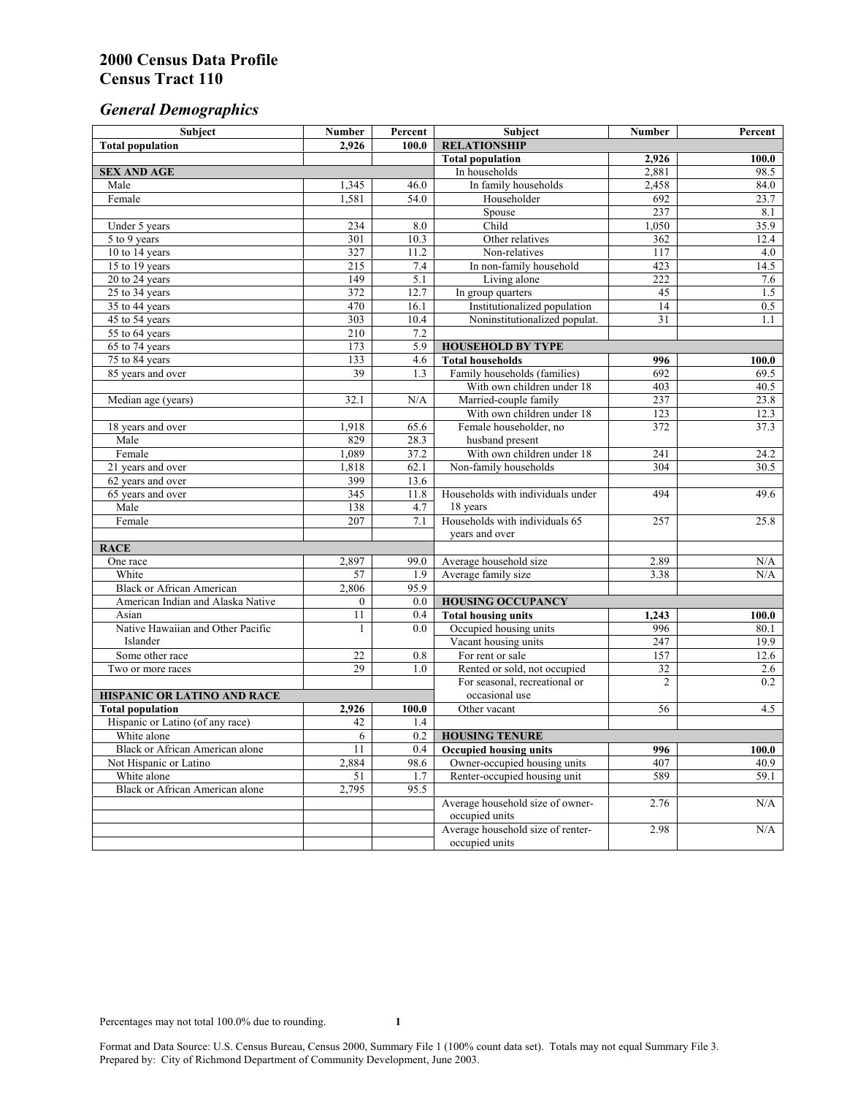# *General Demographics*

| Subject                                | <b>Number</b>    | Percent     | Subject                                            | Number         | Percent     |
|----------------------------------------|------------------|-------------|----------------------------------------------------|----------------|-------------|
| <b>Total population</b>                | 2,926            | 100.0       | <b>RELATIONSHIP</b>                                |                |             |
|                                        |                  |             | <b>Total population</b>                            | 2,926          | 100.0       |
| <b>SEX AND AGE</b>                     |                  |             | In households                                      | 2,881          | 98.5        |
| Male                                   | 1,345            | 46.0        | In family households                               | 2,458          | 84.0        |
| Female                                 | 1,581            | 54.0        | Householder                                        | 692            | 23.7        |
|                                        |                  |             | Spouse                                             | 237            | 8.1         |
| Under 5 years                          | 234              | 8.0         | Child                                              | 1,050          | 35.9        |
| 5 to 9 years                           | 301              | 10.3        | Other relatives                                    | 362            | 12.4        |
| 10 to 14 years                         | 327<br>215       | 11.2<br>7.4 | Non-relatives                                      | 117<br>423     | 4.0         |
| 15 to 19 years<br>20 to 24 years       | 149              | 5.1         | In non-family household<br>Living alone            | 222            | 14.5<br>7.6 |
| 25 to 34 years                         | 372              | 12.7        |                                                    | 45             | 1.5         |
| 35 to 44 years                         | 470              | 16.1        | In group quarters<br>Institutionalized population  | 14             | 0.5         |
| 45 to 54 years                         | $\overline{303}$ | 10.4        | Noninstitutionalized populat.                      | 31             | 1.1         |
| 55 to 64 years                         | 210              | 7.2         |                                                    |                |             |
| 65 to 74 years                         | 173              | 5.9         | <b>HOUSEHOLD BY TYPE</b>                           |                |             |
| 75 to 84 years                         | 133              | 4.6         | <b>Total households</b>                            | 996            | 100.0       |
| 85 years and over                      | 39               | 1.3         | Family households (families)                       | 692            | 69.5        |
|                                        |                  |             | With own children under 18                         | 403            | 40.5        |
| Median age (years)                     | 32.1             | N/A         | Married-couple family                              | 237            | 23.8        |
|                                        |                  |             | With own children under 18                         | 123            | 12.3        |
| 18 years and over                      | 1,918            | 65.6        | Female householder, no                             | 372            | 37.3        |
| Male                                   | 829              | 28.3        | husband present                                    |                |             |
| Female                                 | 1,089            | 37.2        | With own children under 18                         | 241            | 24.2        |
| 21 years and over                      | 1,818            | 62.1        | Non-family households                              | 304            | 30.5        |
| 62 years and over                      | 399              | 13.6        |                                                    |                |             |
| 65 years and over                      | 345              | 11.8        | Households with individuals under                  | 494            | 49.6        |
| Male                                   | 138              | 4.7         | 18 years                                           |                |             |
| Female                                 | 207              | 7.1         | Households with individuals 65                     | 257            | 25.8        |
|                                        |                  |             | years and over                                     |                |             |
| <b>RACE</b>                            |                  |             |                                                    |                |             |
| One race                               | 2,897            | 99.0        | Average household size                             | 2.89           | N/A         |
| White                                  | 57               | 1.9         | Average family size                                | 3.38           | N/A         |
| <b>Black or African American</b>       | 2,806            | 95.9        |                                                    |                |             |
| American Indian and Alaska Native      | $\boldsymbol{0}$ | 0.0         | <b>HOUSING OCCUPANCY</b>                           |                |             |
| Asian                                  | 11               | 0.4         | <b>Total housing units</b>                         | 1,243          | 100.0       |
| Native Hawaiian and Other Pacific      | 1                | 0.0         | Occupied housing units                             | 996            | 80.1        |
| Islander                               |                  |             | Vacant housing units                               | 247            | 19.9        |
| Some other race                        | $\overline{22}$  | 0.8         | For rent or sale                                   | 157            | 12.6        |
| Two or more races                      | 29               | 1.0         | Rented or sold, not occupied                       | 32             | 2.6         |
|                                        |                  |             | For seasonal, recreational or                      | $\overline{c}$ | 0.2         |
| HISPANIC OR LATINO AND RACE            |                  |             | occasional use                                     |                |             |
| <b>Total population</b>                | 2,926            | 100.0       | Other vacant                                       | 56             | 4.5         |
| Hispanic or Latino (of any race)       | 42               | 1.4         |                                                    |                |             |
| White alone                            | 6                | 0.2         | <b>HOUSING TENURE</b>                              |                |             |
| Black or African American alone        | 11               | 0.4         | <b>Occupied housing units</b>                      | 996            | 100.0       |
| Not Hispanic or Latino                 | 2,884            | 98.6        | Owner-occupied housing units                       | 407            | 40.9        |
| White alone                            | 51               | 1.7         | Renter-occupied housing unit                       | 589            | 59.1        |
| <b>Black or African American alone</b> | 2,795            | 95.5        |                                                    |                |             |
|                                        |                  |             | Average household size of owner-<br>occupied units | 2.76           | N/A         |
|                                        |                  |             | Average household size of renter-                  | 2.98           | N/A         |
|                                        |                  |             | occupied units                                     |                |             |
|                                        |                  |             |                                                    |                |             |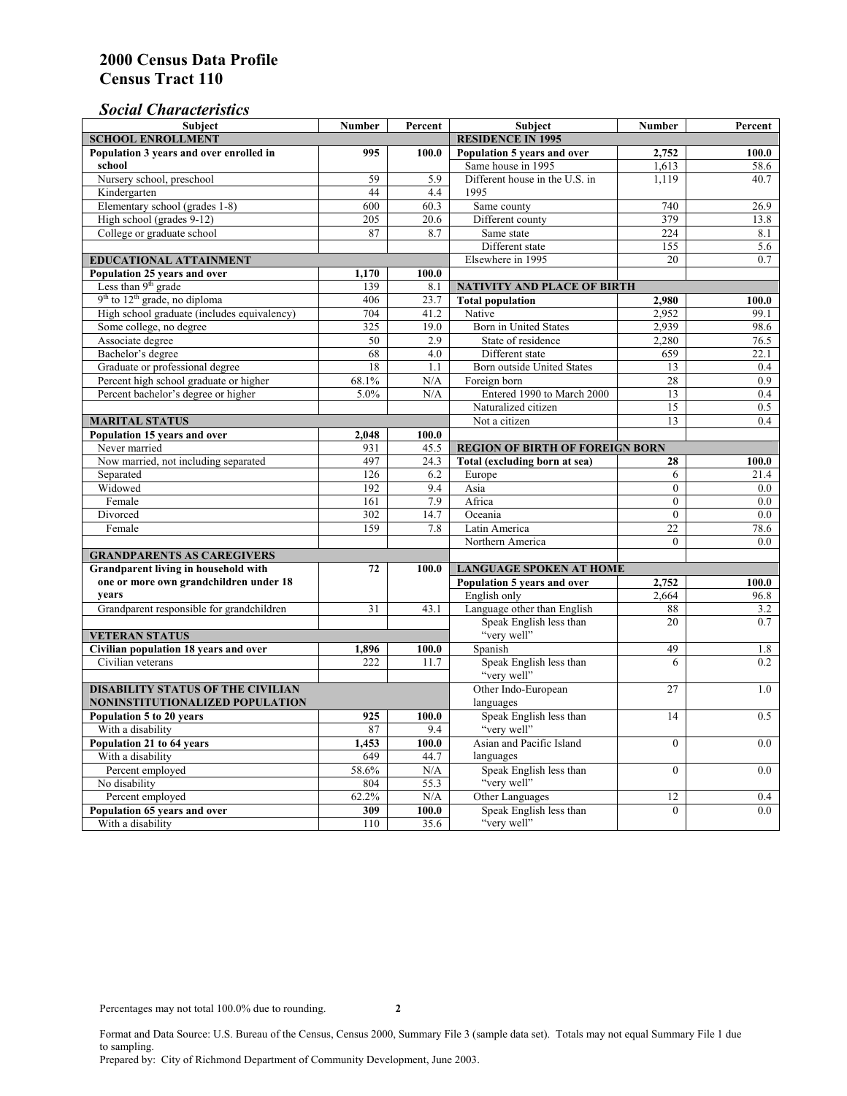### *Social Characteristics*

| <b>Subject</b>                              | <b>Number</b>            | Percent      | Subject                                | <b>Number</b>  | Percent          |
|---------------------------------------------|--------------------------|--------------|----------------------------------------|----------------|------------------|
| <b>SCHOOL ENROLLMENT</b>                    | <b>RESIDENCE IN 1995</b> |              |                                        |                |                  |
| Population 3 years and over enrolled in     | 995                      | 100.0        | Population 5 years and over            | 2,752          | 100.0            |
| school                                      |                          |              | Same house in 1995                     | 1,613          | 58.6             |
| Nursery school, preschool                   | 59                       | 5.9          | Different house in the U.S. in         | 1.119          | 40.7             |
| Kindergarten                                | 44                       | 4.4          | 1995                                   |                |                  |
| Elementary school (grades 1-8)              | 600                      | 60.3         | Same county                            | 740            | 26.9             |
| High school (grades 9-12)                   | 205                      | 20.6         | Different county                       | 379            | 13.8             |
| College or graduate school                  | 87                       | 8.7          | Same state                             | 224            | 8.1              |
|                                             |                          |              | Different state                        | 155            | 5.6              |
| <b>EDUCATIONAL ATTAINMENT</b>               |                          |              | Elsewhere in 1995                      | 20             | 0.7              |
| Population 25 years and over                | 1,170                    | 100.0        |                                        |                |                  |
| Less than 9 <sup>th</sup> grade             | 139                      | 8.1          | NATIVITY AND PLACE OF BIRTH            |                |                  |
| $9th$ to $12th$ grade, no diploma           | 406                      | 23.7         | <b>Total population</b>                | 2,980          | 100.0            |
| High school graduate (includes equivalency) | 704                      | 41.2         | Native                                 | 2.952          | 99.1             |
| Some college, no degree                     | 325                      | 19.0         | <b>Born</b> in United States           | 2,939          | 98.6             |
| Associate degree                            | 50                       | 2.9          | State of residence                     | 2,280          | 76.5             |
| Bachelor's degree                           | 68                       | 4.0          | Different state                        | 659            | 22.1             |
| Graduate or professional degree             | 18                       | 1.1          | Born outside United States             | 13             | 0.4              |
| Percent high school graduate or higher      | 68.1%                    | N/A          | Foreign born                           | 28             | $\overline{0.9}$ |
| Percent bachelor's degree or higher         | 5.0%                     | N/A          | Entered 1990 to March 2000             | 13             | 0.4              |
|                                             |                          |              | Naturalized citizen                    | 15             | 0.5              |
| <b>MARITAL STATUS</b>                       |                          |              | Not a citizen                          | 13             | 0.4              |
| Population 15 years and over                | 2,048                    | 100.0        |                                        |                |                  |
| Never married                               | 931                      | 45.5         | <b>REGION OF BIRTH OF FOREIGN BORN</b> |                |                  |
| Now married, not including separated        | 497                      | 24.3         | Total (excluding born at sea)          | 28             | 100.0            |
| Separated                                   | 126                      | 6.2          | Europe                                 | 6              | 21.4             |
| Widowed                                     | 192                      | 9.4          | Asia                                   | $\overline{0}$ | $0.0\,$          |
| Female                                      | 161                      | 7.9          | Africa                                 | $\theta$       | 0.0              |
| Divorced                                    | 302                      | 14.7         | Oceania                                | $\theta$       | 0.0              |
| Female                                      | 159                      | 7.8          | Latin America                          | 22             | 78.6             |
|                                             |                          |              | Northern America                       | $\theta$       | 0.0              |
| <b>GRANDPARENTS AS CAREGIVERS</b>           |                          |              |                                        |                |                  |
| Grandparent living in household with        | 72                       | 100.0        | <b>LANGUAGE SPOKEN AT HOME</b>         |                |                  |
| one or more own grandchildren under 18      |                          |              | Population 5 years and over            | 2,752          | 100.0            |
| years                                       |                          |              | English only                           | 2,664          | 96.8             |
| Grandparent responsible for grandchildren   | 31                       | 43.1         | Language other than English            | 88             | 3.2              |
|                                             |                          |              | Speak English less than<br>"very well" | 20             | 0.7              |
| <b>VETERAN STATUS</b>                       |                          |              |                                        | 49             |                  |
| Civilian population 18 years and over       | 1,896                    | 100.0        | Spanish                                |                | 1.8              |
| Civilian veterans                           | 222                      | 11.7         | Speak English less than<br>"very well" | 6              | 0.2              |
| <b>DISABILITY STATUS OF THE CIVILIAN</b>    | Other Indo-European      | 27           |                                        |                |                  |
| NONINSTITUTIONALIZED POPULATION             | languages                |              | 1.0                                    |                |                  |
| Population 5 to 20 years                    | Speak English less than  | 14           | 0.5                                    |                |                  |
| With a disability                           | 925<br>87                | 100.0<br>9.4 | "very well"                            |                |                  |
| Population 21 to 64 years                   | 1,453                    | 100.0        | Asian and Pacific Island               | $\theta$       | 0.0              |
| With a disability                           | 649                      | 44.7         | languages                              |                |                  |
| Percent employed                            | 58.6%                    | N/A          | Speak English less than                | $\mathbf{0}$   | 0.0              |
| No disability                               | 804                      | 55.3         | "very well"                            |                |                  |
| Percent employed                            | 62.2%                    | N/A          | Other Languages                        | 12             | 0.4              |
| Population 65 years and over                | 309                      | 100.0        | Speak English less than                | $\mathbf{0}$   | 0.0              |
| With a disability                           | 110                      | 35.6         | "very well"                            |                |                  |

Format and Data Source: U.S. Bureau of the Census, Census 2000, Summary File 3 (sample data set). Totals may not equal Summary File 1 due to sampling.

Prepared by: City of Richmond Department of Community Development, June 2003.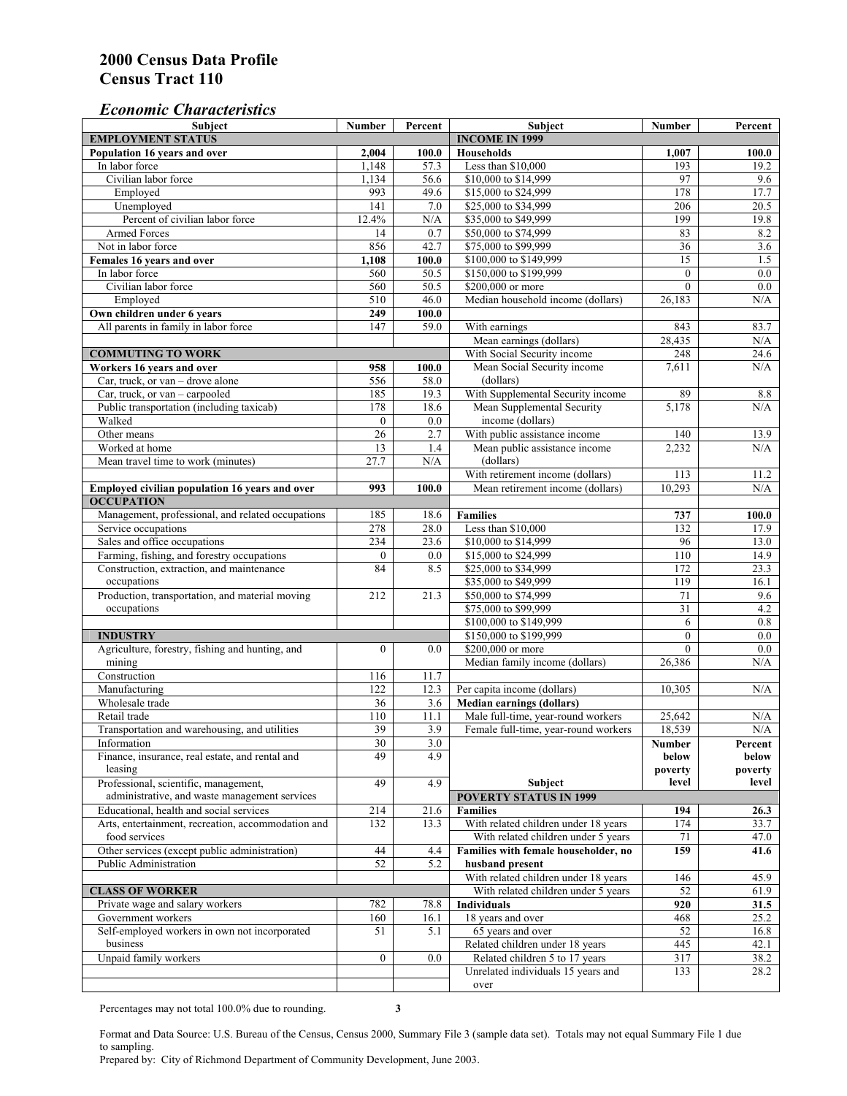### *Economic Characteristics*

| <b>Subject</b>                                     | Number           | Percent      | Subject                               | Number          | Percent          |
|----------------------------------------------------|------------------|--------------|---------------------------------------|-----------------|------------------|
| <b>EMPLOYMENT STATUS</b>                           |                  |              | <b>INCOME IN 1999</b>                 |                 |                  |
| Population 16 years and over                       | 2,004            | 100.0        | Households                            | 1,007           | 100.0            |
| In labor force                                     | 1,148            | 57.3         | Less than \$10,000                    | 193             | 19.2             |
| Civilian labor force                               | 1,134            | 56.6         | \$10,000 to \$14,999                  | 97              | 9.6              |
| Employed                                           | 993              | 49.6         | \$15,000 to \$24,999                  | 178             | 17.7             |
| Unemployed                                         | 141              | 7.0          | \$25,000 to \$34,999                  | 206             | 20.5             |
| Percent of civilian labor force                    | 12.4%            | N/A          | \$35,000 to \$49,999                  | 199             | 19.8             |
| Armed Forces                                       | 14               | 0.7          | \$50,000 to \$74,999                  | 83              | 8.2              |
| Not in labor force                                 | 856              | 42.7         | \$75,000 to \$99,999                  | 36              | 3.6              |
| Females 16 years and over                          | 1,108            | 100.0        | \$100,000 to \$149,999                | $\overline{15}$ | 1.5              |
| In labor force                                     | 560              | 50.5         | \$150,000 to \$199,999                | $\mathbf{0}$    | $\overline{0.0}$ |
| Civilian labor force                               | 560              | 50.5         | \$200,000 or more                     | $\mathbf{0}$    | 0.0              |
| Employed                                           | 510              | 46.0         | Median household income (dollars)     | 26,183          | N/A              |
| Own children under 6 years                         | 249              | 100.0        |                                       |                 |                  |
| All parents in family in labor force               | 147              | 59.0         | With earnings                         | 843             | 83.7             |
|                                                    |                  |              | Mean earnings (dollars)               | 28,435          | N/A              |
| <b>COMMUTING TO WORK</b>                           |                  |              | With Social Security income           | 248             | 24.6             |
| Workers 16 years and over                          | 958              | 100.0        | Mean Social Security income           | 7,611           | N/A              |
| Car, truck, or van – drove alone                   | 556              | 58.0         | (dollars)                             |                 |                  |
| Car, truck, or van - carpooled                     | 185              | 19.3         | With Supplemental Security income     | 89              | 8.8              |
| Public transportation (including taxicab)          | 178              | 18.6         | Mean Supplemental Security            | 5,178           | N/A              |
| Walked                                             | $\boldsymbol{0}$ | 0.0          | income (dollars)                      |                 |                  |
| Other means                                        | $\overline{26}$  | 2.7          | With public assistance income         | 140             | 13.9             |
| Worked at home                                     | 13               | 1.4          | Mean public assistance income         | 2,232           | N/A              |
| Mean travel time to work (minutes)                 | 27.7             | N/A          | (dollars)                             |                 |                  |
|                                                    |                  |              | With retirement income (dollars)      | 113             |                  |
|                                                    | 993              | 100.0        |                                       | 10,293          | 11.2<br>N/A      |
| Employed civilian population 16 years and over     |                  |              | Mean retirement income (dollars)      |                 |                  |
| <b>OCCUPATION</b>                                  |                  |              |                                       |                 |                  |
| Management, professional, and related occupations  | 185<br>278       | 18.6<br>28.0 | <b>Families</b><br>Less than \$10,000 | 737             | 100.0            |
| Service occupations                                |                  |              |                                       | 132             | 17.9             |
| Sales and office occupations                       | 234              | 23.6         | \$10,000 to \$14,999                  | 96              | 13.0             |
| Farming, fishing, and forestry occupations         | $\boldsymbol{0}$ | 0.0          | \$15,000 to \$24,999                  | 110             | 14.9             |
| Construction, extraction, and maintenance          | 84               | 8.5          | \$25,000 to \$34,999                  | 172             | 23.3             |
| occupations                                        |                  |              | \$35,000 to \$49,999                  | 119             | 16.1             |
| Production, transportation, and material moving    | 212              | 21.3         | \$50,000 to \$74,999                  | 71              | 9.6              |
| occupations                                        |                  |              | \$75,000 to \$99,999                  | 31              | 4.2              |
|                                                    |                  |              | \$100,000 to \$149,999                | 6               | 0.8              |
| <b>INDUSTRY</b>                                    |                  |              | \$150,000 to \$199,999                | $\mathbf{0}$    | 0.0              |
| Agriculture, forestry, fishing and hunting, and    | $\mathbf{0}$     | 0.0          | \$200,000 or more                     | $\theta$        | 0.0              |
| mining                                             |                  |              | Median family income (dollars)        | 26,386          | N/A              |
| Construction                                       | 116              | 11.7         |                                       |                 |                  |
| Manufacturing                                      | 122              | 12.3         | Per capita income (dollars)           | 10,305          | N/A              |
| Wholesale trade                                    | 36               | 3.6          | <b>Median earnings (dollars)</b>      |                 |                  |
| Retail trade                                       | 110              | 11.1         | Male full-time, year-round workers    | 25,642          | N/A              |
| Transportation and warehousing, and utilities      | 39               | 3.9          | Female full-time, year-round workers  | 18,539          | N/A              |
| Information                                        | 30               | 3.0          |                                       | Number          | Percent          |
| Finance, insurance, real estate, and rental and    | 49               | 4.9          |                                       | below           | below            |
| leasing                                            |                  |              |                                       | poverty         | poverty          |
| Professional, scientific, management,              | 49               | 4.9          | Subject                               | level           | level            |
| administrative, and waste management services      |                  |              | <b>POVERTY STATUS IN 1999</b>         |                 |                  |
| Educational, health and social services            | 214              | 21.6         | <b>Families</b>                       | 194             | 26.3             |
| Arts, entertainment, recreation, accommodation and | 132              | 13.3         | With related children under 18 years  | 174             | 33.7             |
| food services                                      |                  |              | With related children under 5 years   | 71              | 47.0             |
| Other services (except public administration)      | 44               | 4.4          | Families with female householder, no  | 159             | 41.6             |
| Public Administration                              | 52               | 5.2          | husband present                       |                 |                  |
|                                                    |                  |              | With related children under 18 years  | 146             | 45.9             |
| <b>CLASS OF WORKER</b>                             |                  |              | With related children under 5 years   | 52              | 61.9             |
| Private wage and salary workers                    | 782              | 78.8         | Individuals                           | 920             | 31.5             |
| Government workers                                 | 160              | 16.1         | 18 years and over                     | 468             | 25.2             |
| Self-employed workers in own not incorporated      | 51               | 5.1          | 65 years and over                     | 52              | 16.8             |
| business                                           |                  |              | Related children under 18 years       | 445             | 42.1             |
| Unpaid family workers                              | $\mathbf{0}$     | 0.0          | Related children 5 to 17 years        | 317             | 38.2             |
|                                                    |                  |              | Unrelated individuals 15 years and    | 133             | 28.2             |
|                                                    |                  |              | over                                  |                 |                  |

Percentages may not total 100.0% due to rounding. **3** 

Format and Data Source: U.S. Bureau of the Census, Census 2000, Summary File 3 (sample data set). Totals may not equal Summary File 1 due to sampling.

Prepared by: City of Richmond Department of Community Development, June 2003.